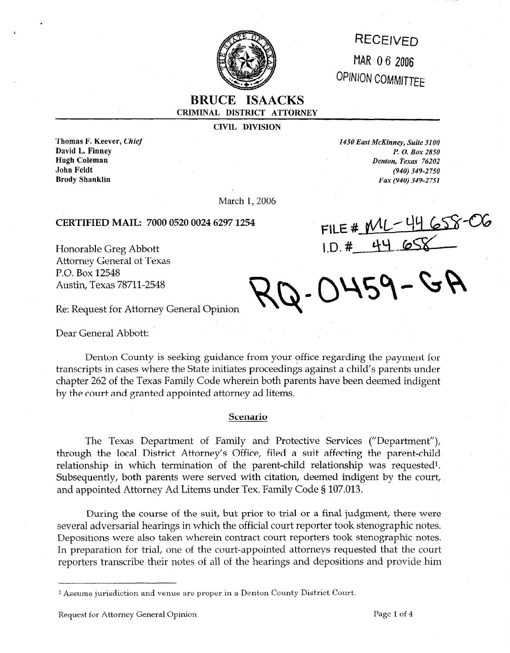

# **RECEIVED** MAR 06 2006 OPINION COMMITTEE

## **BRUCE ISAACKS CRIMINAL DISTRICT ATTORNEY**

**CIVIL DIVISION** 

**Thomas F. Keever,** *Chief 1450 East McKinney, Suite 3100* 

**David L. Finney** *P. O. Box 2850 P. O. Box 2850* **<b>***P. O. Box 2850 P. O. Box 2850* Denton, Texas 76202 **John Feldt** *(940) 349-2750*  **Brody Shanklin** *Fax (940) 349-2751* 

March 1, 2006

### **CERTIFIED, MAIL: 7000 0520 0024 6297 1254**

Honorable Greg Abbott Attorney General of Texas P.O. Box 12548 Austin, Texas 78711-2548

FILE # ML-44 658-06<br>1.D. # 44 658

 $2 - 0459 - GR$ 

Re: Request for Attorney General Opinion

Dear General Abbott:

Denton County is seeking guidance from your office regarding the payment for transcripts in cases where the State initiates proceedings against a child's parents under chapter 262 of the Texas Family Code wherein both parents have been deemed indigent by the court and granted appointed attorney ad litems.

#### **Scenario**

The Texas Department of Family and Protective Services ("Department"), through the local District Attorney's Office, filed a suit affecting the parent-child relationship in which termination of the parent-child relationship was requested<sup>1</sup>. Subsequently, both parents were served with citation, deemed indigent by the court, and appointed Attorney Ad Litems under Tex. Family Code § 107.013.

During the course of the suit, but prior to trial or a final judgment, there were several adversarial hearings in which the official court reporter took stenographic notes. Depositions were also taken wherein contract court reporters took stenographic notes. In preparation for trial, one of the court-appointed attorneys requested that the court reporters transcribe their notes of all of the hearings and depositions and provide him

<sup>1</sup> Assume jurisdiction and venue are proper in a Denton County District Court.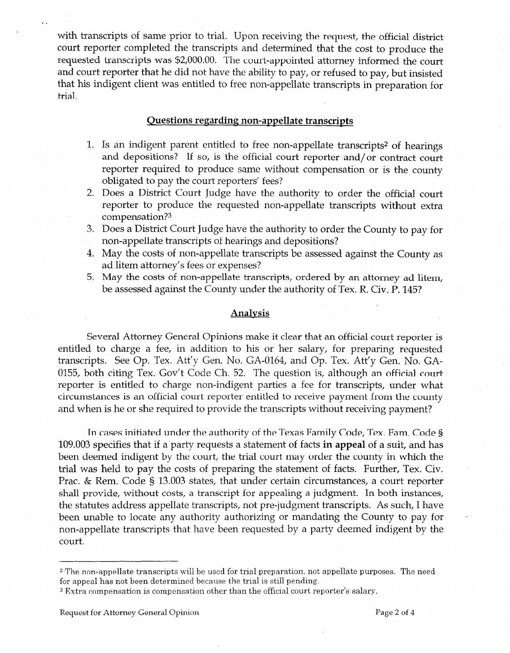with transcripts of same prior to trial. Upon receiving the request, the official district court reporter completed the transcripts and determined that the cost to produce the requested transcripts was \$2,000.00. The court-appointed attorney informed the court and court reporter that he did not have the ability to pay, or refused to pay, but insisted that his indigent client was entitled to free non-appellate transcripts in preparation for trial.

#### **Ouestions regarding non-appellate transcripts**

- 1. Is an indigent parent entitled to free non-appellate transcripts2 of hearings and depositions? If so, is the official court reporter and/or contract court reporter required to produce same without compensation or is the county obligated to pay the court reporters' fees?
- 2. Does a District Court Judge have the authority to order the official court reporter to produce the requested non-appellate transcripts without extra compensation?3
- 3. Does a District Court Judge have the authority to order the County to pay for non-appellate transcripts of hearings and depositions?
- 4. May the costs of non-appellate transcripts be assessed against the County as ad litem attorney's fees or expenses?
- 5. May the costs of non-appellate transcripts, ordered by an attorney ad litem, be assessed against the County under the authority of Tex. R. Civ. P. 145?

#### **Analysis**

Several Attorney General Opinions make it clear that an official court reporter is entitled to charge a fee, in addition to his or her salary, for preparing requested transcripts. See Op. Tex. Att'y Gen. No. GA-0164, and Op. Tex. Att'y Gen. No. GA-0155, both citing Tex. Gov't Code Ch. 52. The question is, although an official court reporter is entitled to charge non-indigent parties a fee for transcripts, under what circumstances is an official court reporter entitled to receive payment from the county and when is he or she required to provide the transcripts without receiving payment?

In cases initiated under the authority of the Texas Family Code, Tex. Fam. Code § 109.003 specifies that if a'party requests a statement of facts **in appeal** of a suit, and has been deemed indigent by the court, the trial court may order the county in which the trial was held to pay the costs of preparing the statement of facts. Further, Tex. Civ. Prac. & Rem. Code § 13.003 states, that under certain circumstances, a court reporter shall provide, without costs, a transcript for appealing a judgment. In both instances, the statutes address appellate transcripts, not pre-judgment transcripts. As such, I have been unable to locate any authority authorizing or mandating the County to pay for non-appellate transcripts that have been requested by a party deemed indigent by the court.

. .

<sup>&</sup>lt;sup>2</sup> The non-appellate transcripts will be used for trial preparation, not appellate purposes. The need for appeal has not been determined because the trial is still pending.

<sup>3</sup> Extra compensation is compensation other than the official court reporter's salary.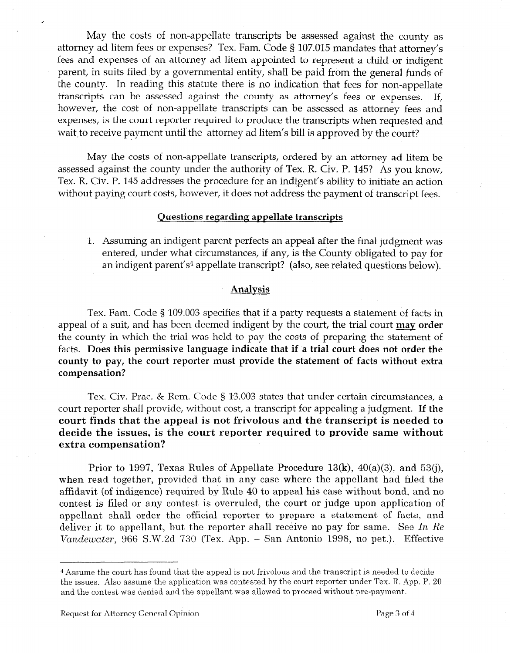May the costs of non-appellate transcripts be assessed against the county as attorney ad litem fees or expenses? Tex. Fam. Code § 107.015 mandates that attorney's fees and expenses of an attorney ad litem appointed to represent a child or indigent parent, in suits filed by a governmental entity, shall be paid from the general funds of the county. In reading this statute there is no indication that fees for non-appellate transcripts can be assessed against the county as attorney's fees or expenses. If, however, the cost of non-appellate transcripts can be assessed as attorney fees and expenses, is the court reporter required to produce the transcripts when requested and wait to receive payment until the attorney ad litem's bill is approved by the court?

May the costs of non-appellate transcripts, ordered by an attorney ad litem be assessed against the county under the authority of Tex. R. Civ. P. 145? As you know, Tex. R. Civ. P. 145 addresses the procedure for an indigent's ability to initiate an action without paying court costs, however, it does not address the payment of transcript fees.

#### **Questions regarding appellate transcripts**

1. Assuming an indigent parent perfects an appeal after the final judgment was entered, under what circumstances, if any, is the County obligated to pay for an indigent parent's<sup>4</sup> appellate transcript? (also, see related questions below).

#### **Analysis**

Tex. Fam. Code § 109.003 specifies that if a party requests a statement of facts in appeal of a suit, and has been deemed indigent by the court, the trial court **may order**  the county in which the trial was held to pay the costs of preparing the statement of facts. **Does this permissive language indicate that if a trial court does not order the county to pay, the court reporter must provide the statement of facts without extra compensation?** 

Tex. Civ. Prac. & Rem. Code § 13.003 states that under certain circumstances, a court reporter shall provide, without cost, a transcript for appealing a judgment. **If the court finds that the appeal is not frivolous and the transcript is needed to decide the issues, is the court reporter required to provide same without extra compensation?** 

Prior to 1997, Texas Rules of Appellate Procedure 13(k), 40(a)(3), and 53(j), when read together, provided that in any case where the appellant had filed the affidavit (of indigence) required by Rule 40 to appeal his case without bond, and no contest is filed or any contest is overruled, the **court** or judge upon application of appellant shall order the official reporter to prepare a statement of facts, and deliver it to appellant, but the reporter shall receive no pay for same. See In Re *Vandewater,* 966 S.W.2d 730 (Tex. App. - San Antonio 1998, no pet.). Effective

<sup>4</sup> Assume the court has found that the appeal is not frivolous and the transcript is needed to decide the issues. Also assume the application was contested by the court reporter under Tex. R. App. P. 20 and the contest was denied and the appellant was allowed to proceed without pre-payment.